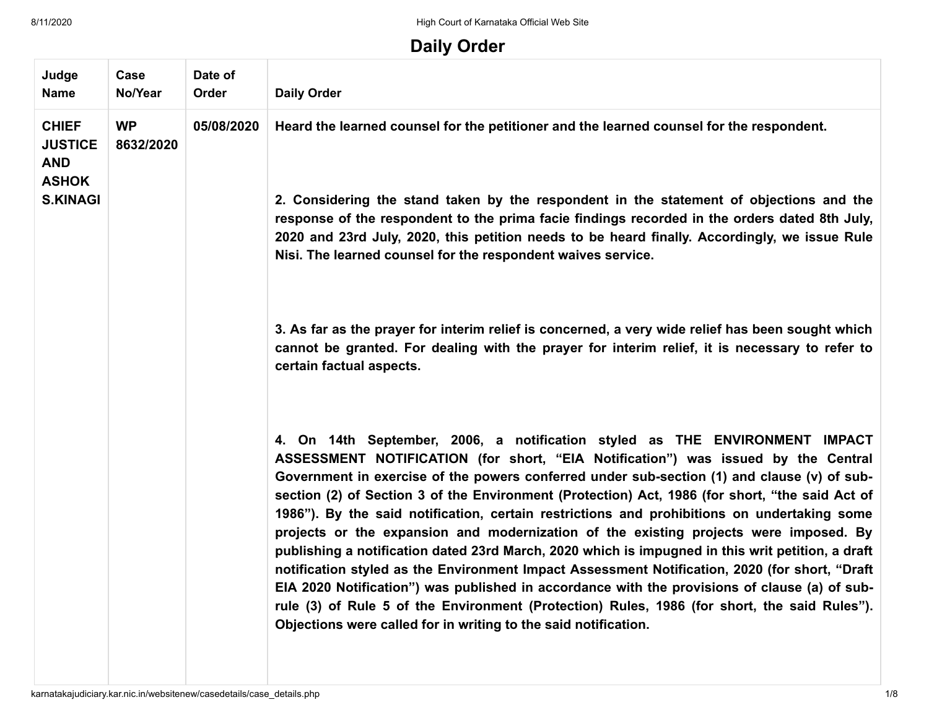8/11/2020 **High Court of Karnataka Official Web Site** 

## **Daily Order**

| Judge<br><b>Name</b>                                         | Case<br>No/Year        | Date of<br><b>Order</b> | <b>Daily Order</b>                                                                                                                                                                                                                                                                                                                                                                                                                                                                                                                                                                                                                                                                                                                                                                                                                                                                                                                                                                                                                    |
|--------------------------------------------------------------|------------------------|-------------------------|---------------------------------------------------------------------------------------------------------------------------------------------------------------------------------------------------------------------------------------------------------------------------------------------------------------------------------------------------------------------------------------------------------------------------------------------------------------------------------------------------------------------------------------------------------------------------------------------------------------------------------------------------------------------------------------------------------------------------------------------------------------------------------------------------------------------------------------------------------------------------------------------------------------------------------------------------------------------------------------------------------------------------------------|
| <b>CHIEF</b><br><b>JUSTICE</b><br><b>AND</b><br><b>ASHOK</b> | <b>WP</b><br>8632/2020 | 05/08/2020              | Heard the learned counsel for the petitioner and the learned counsel for the respondent.                                                                                                                                                                                                                                                                                                                                                                                                                                                                                                                                                                                                                                                                                                                                                                                                                                                                                                                                              |
| <b>S.KINAGI</b>                                              |                        |                         | 2. Considering the stand taken by the respondent in the statement of objections and the<br>response of the respondent to the prima facie findings recorded in the orders dated 8th July,<br>2020 and 23rd July, 2020, this petition needs to be heard finally. Accordingly, we issue Rule<br>Nisi. The learned counsel for the respondent waives service.                                                                                                                                                                                                                                                                                                                                                                                                                                                                                                                                                                                                                                                                             |
|                                                              |                        |                         | 3. As far as the prayer for interim relief is concerned, a very wide relief has been sought which<br>cannot be granted. For dealing with the prayer for interim relief, it is necessary to refer to<br>certain factual aspects.                                                                                                                                                                                                                                                                                                                                                                                                                                                                                                                                                                                                                                                                                                                                                                                                       |
|                                                              |                        |                         | 4. On 14th September, 2006, a notification styled as THE ENVIRONMENT IMPACT<br>ASSESSMENT NOTIFICATION (for short, "EIA Notification") was issued by the Central<br>Government in exercise of the powers conferred under sub-section (1) and clause (v) of sub-<br>section (2) of Section 3 of the Environment (Protection) Act, 1986 (for short, "the said Act of<br>1986"). By the said notification, certain restrictions and prohibitions on undertaking some<br>projects or the expansion and modernization of the existing projects were imposed. By<br>publishing a notification dated 23rd March, 2020 which is impugned in this writ petition, a draft<br>notification styled as the Environment Impact Assessment Notification, 2020 (for short, "Draft<br>EIA 2020 Notification") was published in accordance with the provisions of clause (a) of sub-<br>rule (3) of Rule 5 of the Environment (Protection) Rules, 1986 (for short, the said Rules").<br>Objections were called for in writing to the said notification. |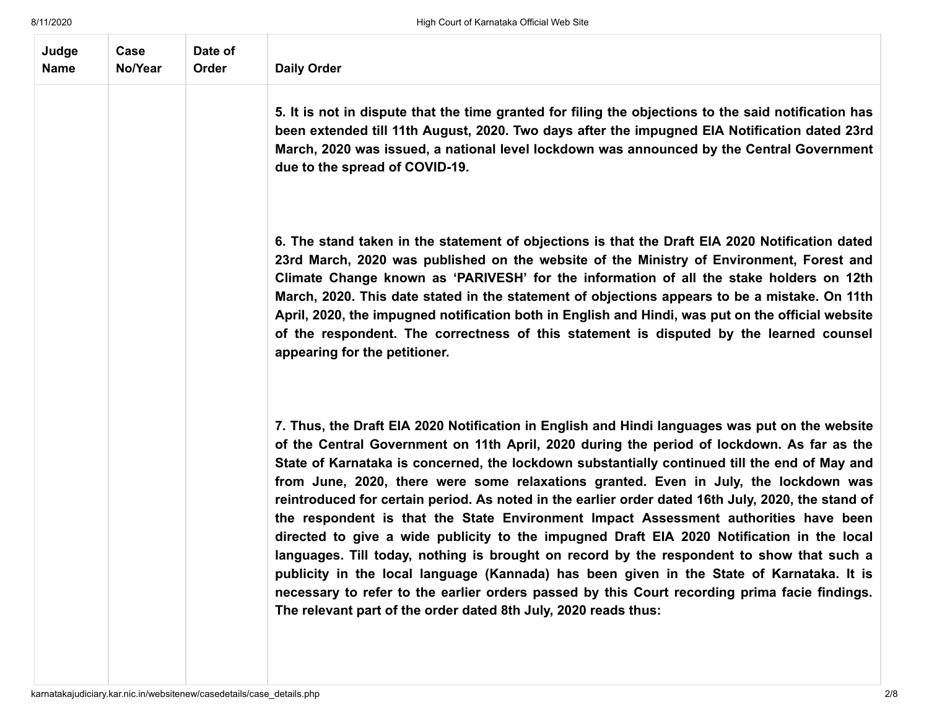| Judge<br><b>Name</b> | Case<br>No/Year | Date of<br>Order | <b>Daily Order</b>                                                                                                                                                                                                                                                                                                                                                                                                                                                                                                                                                                                                                                                                                                                                                                                                                                                                                                                                                                                                                              |
|----------------------|-----------------|------------------|-------------------------------------------------------------------------------------------------------------------------------------------------------------------------------------------------------------------------------------------------------------------------------------------------------------------------------------------------------------------------------------------------------------------------------------------------------------------------------------------------------------------------------------------------------------------------------------------------------------------------------------------------------------------------------------------------------------------------------------------------------------------------------------------------------------------------------------------------------------------------------------------------------------------------------------------------------------------------------------------------------------------------------------------------|
|                      |                 |                  | 5. It is not in dispute that the time granted for filing the objections to the said notification has<br>been extended till 11th August, 2020. Two days after the impugned EIA Notification dated 23rd<br>March, 2020 was issued, a national level lockdown was announced by the Central Government<br>due to the spread of COVID-19.                                                                                                                                                                                                                                                                                                                                                                                                                                                                                                                                                                                                                                                                                                            |
|                      |                 |                  | 6. The stand taken in the statement of objections is that the Draft EIA 2020 Notification dated<br>23rd March, 2020 was published on the website of the Ministry of Environment, Forest and<br>Climate Change known as 'PARIVESH' for the information of all the stake holders on 12th<br>March, 2020. This date stated in the statement of objections appears to be a mistake. On 11th<br>April, 2020, the impugned notification both in English and Hindi, was put on the official website<br>of the respondent. The correctness of this statement is disputed by the learned counsel<br>appearing for the petitioner.                                                                                                                                                                                                                                                                                                                                                                                                                        |
|                      |                 |                  | 7. Thus, the Draft EIA 2020 Notification in English and Hindi languages was put on the website<br>of the Central Government on 11th April, 2020 during the period of lockdown. As far as the<br>State of Karnataka is concerned, the lockdown substantially continued till the end of May and<br>from June, 2020, there were some relaxations granted. Even in July, the lockdown was<br>reintroduced for certain period. As noted in the earlier order dated 16th July, 2020, the stand of<br>the respondent is that the State Environment Impact Assessment authorities have been<br>directed to give a wide publicity to the impugned Draft EIA 2020 Notification in the local<br>languages. Till today, nothing is brought on record by the respondent to show that such a<br>publicity in the local language (Kannada) has been given in the State of Karnataka. It is<br>necessary to refer to the earlier orders passed by this Court recording prima facie findings.<br>The relevant part of the order dated 8th July, 2020 reads thus: |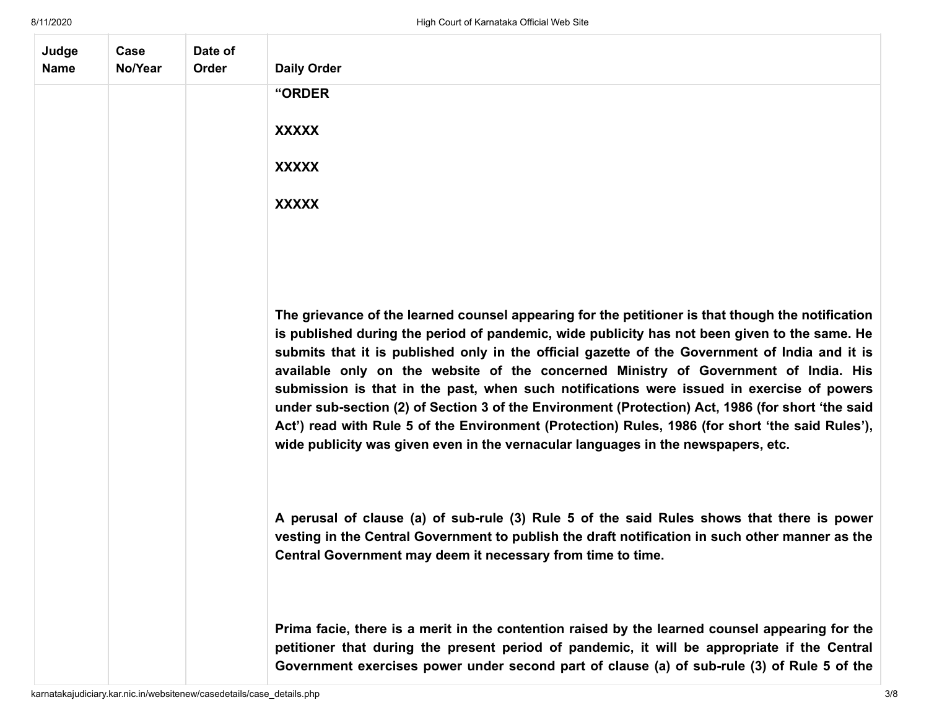| Judge<br><b>Name</b> | Case<br>No/Year | Date of<br>Order | <b>Daily Order</b>                                                                                                                                                                                                                                                                                                                                                                                                                                                                                                                                                                                                                                                                                                                                                                     |
|----------------------|-----------------|------------------|----------------------------------------------------------------------------------------------------------------------------------------------------------------------------------------------------------------------------------------------------------------------------------------------------------------------------------------------------------------------------------------------------------------------------------------------------------------------------------------------------------------------------------------------------------------------------------------------------------------------------------------------------------------------------------------------------------------------------------------------------------------------------------------|
|                      |                 |                  | "ORDER                                                                                                                                                                                                                                                                                                                                                                                                                                                                                                                                                                                                                                                                                                                                                                                 |
|                      |                 |                  | <b>XXXXX</b>                                                                                                                                                                                                                                                                                                                                                                                                                                                                                                                                                                                                                                                                                                                                                                           |
|                      |                 |                  | <b>XXXXX</b>                                                                                                                                                                                                                                                                                                                                                                                                                                                                                                                                                                                                                                                                                                                                                                           |
|                      |                 |                  | <b>XXXXX</b>                                                                                                                                                                                                                                                                                                                                                                                                                                                                                                                                                                                                                                                                                                                                                                           |
|                      |                 |                  |                                                                                                                                                                                                                                                                                                                                                                                                                                                                                                                                                                                                                                                                                                                                                                                        |
|                      |                 |                  |                                                                                                                                                                                                                                                                                                                                                                                                                                                                                                                                                                                                                                                                                                                                                                                        |
|                      |                 |                  | The grievance of the learned counsel appearing for the petitioner is that though the notification<br>is published during the period of pandemic, wide publicity has not been given to the same. He<br>submits that it is published only in the official gazette of the Government of India and it is<br>available only on the website of the concerned Ministry of Government of India. His<br>submission is that in the past, when such notifications were issued in exercise of powers<br>under sub-section (2) of Section 3 of the Environment (Protection) Act, 1986 (for short 'the said<br>Act') read with Rule 5 of the Environment (Protection) Rules, 1986 (for short 'the said Rules'),<br>wide publicity was given even in the vernacular languages in the newspapers, etc. |
|                      |                 |                  | A perusal of clause (a) of sub-rule (3) Rule 5 of the said Rules shows that there is power<br>vesting in the Central Government to publish the draft notification in such other manner as the<br>Central Government may deem it necessary from time to time.                                                                                                                                                                                                                                                                                                                                                                                                                                                                                                                           |
|                      |                 |                  | Prima facie, there is a merit in the contention raised by the learned counsel appearing for the<br>petitioner that during the present period of pandemic, it will be appropriate if the Central<br>Government exercises power under second part of clause (a) of sub-rule (3) of Rule 5 of the                                                                                                                                                                                                                                                                                                                                                                                                                                                                                         |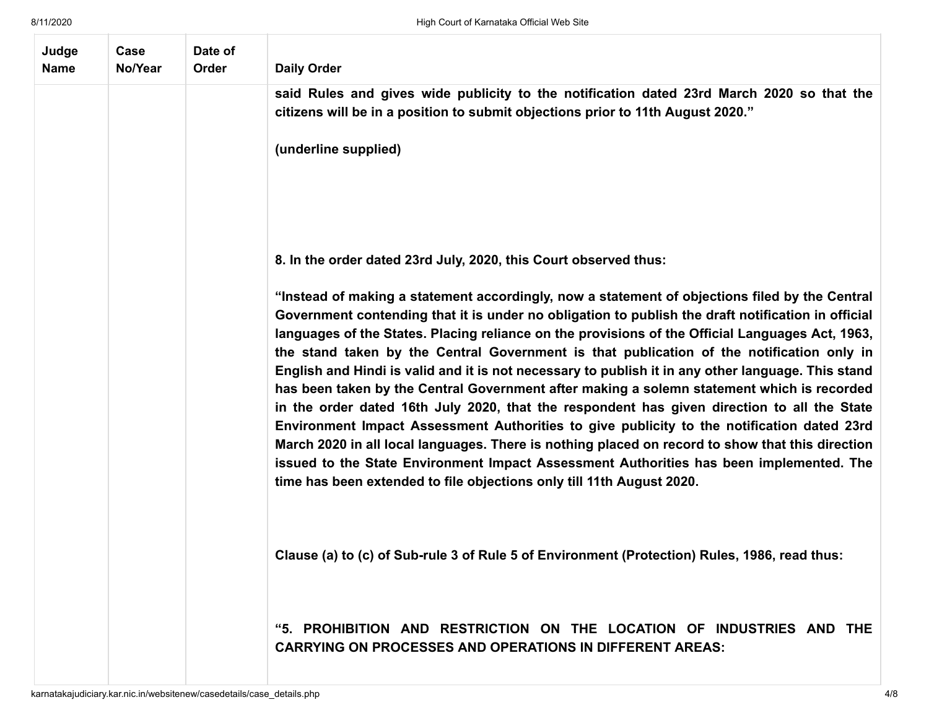| Judge<br><b>Name</b> | Case<br>No/Year | Date of<br>Order | <b>Daily Order</b>                                                                                                                                                                                                                                                                                                                                                                                                                                                                                                                                                                                                                                                                                                                                                                                                                                                                                                                                                                                                                                                             |
|----------------------|-----------------|------------------|--------------------------------------------------------------------------------------------------------------------------------------------------------------------------------------------------------------------------------------------------------------------------------------------------------------------------------------------------------------------------------------------------------------------------------------------------------------------------------------------------------------------------------------------------------------------------------------------------------------------------------------------------------------------------------------------------------------------------------------------------------------------------------------------------------------------------------------------------------------------------------------------------------------------------------------------------------------------------------------------------------------------------------------------------------------------------------|
|                      |                 |                  | said Rules and gives wide publicity to the notification dated 23rd March 2020 so that the<br>citizens will be in a position to submit objections prior to 11th August 2020."                                                                                                                                                                                                                                                                                                                                                                                                                                                                                                                                                                                                                                                                                                                                                                                                                                                                                                   |
|                      |                 |                  | (underline supplied)                                                                                                                                                                                                                                                                                                                                                                                                                                                                                                                                                                                                                                                                                                                                                                                                                                                                                                                                                                                                                                                           |
|                      |                 |                  |                                                                                                                                                                                                                                                                                                                                                                                                                                                                                                                                                                                                                                                                                                                                                                                                                                                                                                                                                                                                                                                                                |
|                      |                 |                  | 8. In the order dated 23rd July, 2020, this Court observed thus:                                                                                                                                                                                                                                                                                                                                                                                                                                                                                                                                                                                                                                                                                                                                                                                                                                                                                                                                                                                                               |
|                      |                 |                  | "Instead of making a statement accordingly, now a statement of objections filed by the Central<br>Government contending that it is under no obligation to publish the draft notification in official<br>languages of the States. Placing reliance on the provisions of the Official Languages Act, 1963,<br>the stand taken by the Central Government is that publication of the notification only in<br>English and Hindi is valid and it is not necessary to publish it in any other language. This stand<br>has been taken by the Central Government after making a solemn statement which is recorded<br>in the order dated 16th July 2020, that the respondent has given direction to all the State<br>Environment Impact Assessment Authorities to give publicity to the notification dated 23rd<br>March 2020 in all local languages. There is nothing placed on record to show that this direction<br>issued to the State Environment Impact Assessment Authorities has been implemented. The<br>time has been extended to file objections only till 11th August 2020. |
|                      |                 |                  | Clause (a) to (c) of Sub-rule 3 of Rule 5 of Environment (Protection) Rules, 1986, read thus:                                                                                                                                                                                                                                                                                                                                                                                                                                                                                                                                                                                                                                                                                                                                                                                                                                                                                                                                                                                  |
|                      |                 |                  | "5. PROHIBITION AND RESTRICTION ON THE LOCATION OF INDUSTRIES AND THE<br><b>CARRYING ON PROCESSES AND OPERATIONS IN DIFFERENT AREAS:</b>                                                                                                                                                                                                                                                                                                                                                                                                                                                                                                                                                                                                                                                                                                                                                                                                                                                                                                                                       |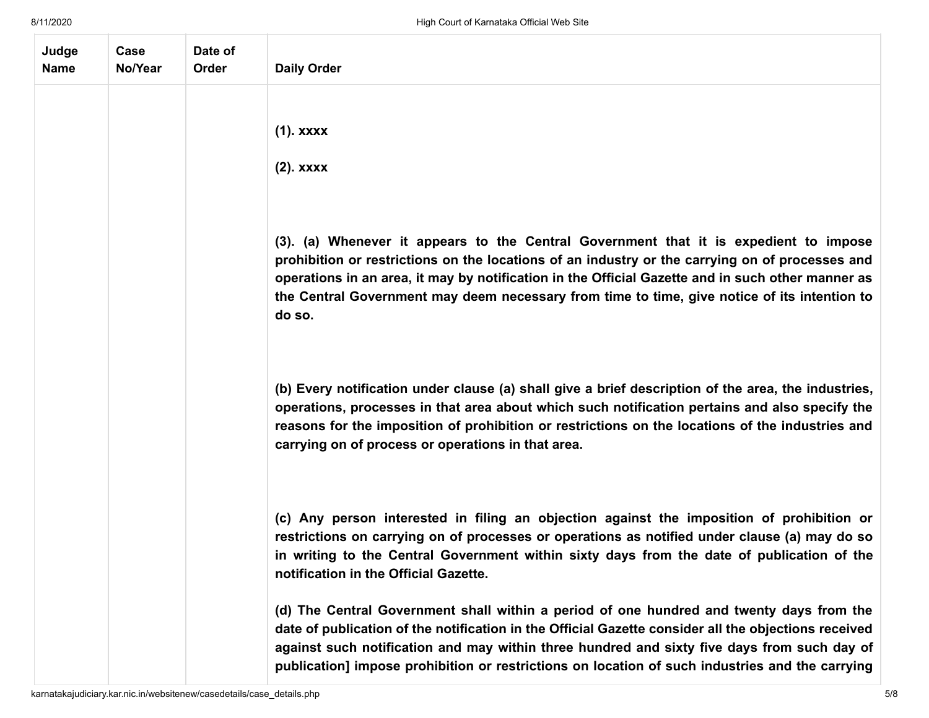| Judge<br><b>Name</b> | Case<br>No/Year | Date of<br>Order | <b>Daily Order</b>                                                                                                                                                                                                                                                                                                                                                                                      |
|----------------------|-----------------|------------------|---------------------------------------------------------------------------------------------------------------------------------------------------------------------------------------------------------------------------------------------------------------------------------------------------------------------------------------------------------------------------------------------------------|
|                      |                 |                  | $(1)$ . xxxx<br>$(2)$ . xxxx                                                                                                                                                                                                                                                                                                                                                                            |
|                      |                 |                  | (3). (a) Whenever it appears to the Central Government that it is expedient to impose<br>prohibition or restrictions on the locations of an industry or the carrying on of processes and<br>operations in an area, it may by notification in the Official Gazette and in such other manner as<br>the Central Government may deem necessary from time to time, give notice of its intention to<br>do so. |
|                      |                 |                  | (b) Every notification under clause (a) shall give a brief description of the area, the industries,<br>operations, processes in that area about which such notification pertains and also specify the<br>reasons for the imposition of prohibition or restrictions on the locations of the industries and<br>carrying on of process or operations in that area.                                         |
|                      |                 |                  | (c) Any person interested in filing an objection against the imposition of prohibition or<br>restrictions on carrying on of processes or operations as notified under clause (a) may do so<br>in writing to the Central Government within sixty days from the date of publication of the<br>notification in the Official Gazette.                                                                       |
|                      |                 |                  | (d) The Central Government shall within a period of one hundred and twenty days from the<br>date of publication of the notification in the Official Gazette consider all the objections received<br>against such notification and may within three hundred and sixty five days from such day of<br>publication] impose prohibition or restrictions on location of such industries and the carrying      |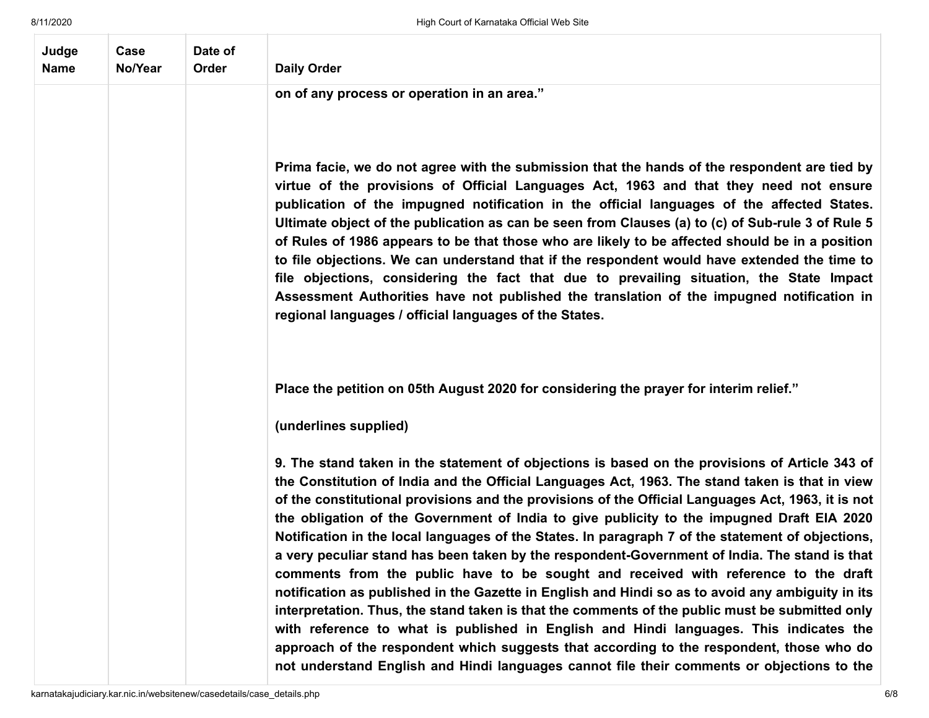| Judge<br><b>Name</b> | Case<br>No/Year | Date of<br>Order | <b>Daily Order</b>                                                                                                                                                                                                                                                                                                                                                                                                                                                                                                                                                                                                                                                                                                                                                                                                                                                                                                                                                                                                                                                                                                                                                                             |
|----------------------|-----------------|------------------|------------------------------------------------------------------------------------------------------------------------------------------------------------------------------------------------------------------------------------------------------------------------------------------------------------------------------------------------------------------------------------------------------------------------------------------------------------------------------------------------------------------------------------------------------------------------------------------------------------------------------------------------------------------------------------------------------------------------------------------------------------------------------------------------------------------------------------------------------------------------------------------------------------------------------------------------------------------------------------------------------------------------------------------------------------------------------------------------------------------------------------------------------------------------------------------------|
|                      |                 |                  | on of any process or operation in an area."                                                                                                                                                                                                                                                                                                                                                                                                                                                                                                                                                                                                                                                                                                                                                                                                                                                                                                                                                                                                                                                                                                                                                    |
|                      |                 |                  |                                                                                                                                                                                                                                                                                                                                                                                                                                                                                                                                                                                                                                                                                                                                                                                                                                                                                                                                                                                                                                                                                                                                                                                                |
|                      |                 |                  | Prima facie, we do not agree with the submission that the hands of the respondent are tied by<br>virtue of the provisions of Official Languages Act, 1963 and that they need not ensure<br>publication of the impugned notification in the official languages of the affected States.<br>Ultimate object of the publication as can be seen from Clauses (a) to (c) of Sub-rule 3 of Rule 5<br>of Rules of 1986 appears to be that those who are likely to be affected should be in a position<br>to file objections. We can understand that if the respondent would have extended the time to<br>file objections, considering the fact that due to prevailing situation, the State Impact<br>Assessment Authorities have not published the translation of the impugned notification in<br>regional languages / official languages of the States.                                                                                                                                                                                                                                                                                                                                               |
|                      |                 |                  | Place the petition on 05th August 2020 for considering the prayer for interim relief."                                                                                                                                                                                                                                                                                                                                                                                                                                                                                                                                                                                                                                                                                                                                                                                                                                                                                                                                                                                                                                                                                                         |
|                      |                 |                  | (underlines supplied)                                                                                                                                                                                                                                                                                                                                                                                                                                                                                                                                                                                                                                                                                                                                                                                                                                                                                                                                                                                                                                                                                                                                                                          |
|                      |                 |                  | 9. The stand taken in the statement of objections is based on the provisions of Article 343 of<br>the Constitution of India and the Official Languages Act, 1963. The stand taken is that in view<br>of the constitutional provisions and the provisions of the Official Languages Act, 1963, it is not<br>the obligation of the Government of India to give publicity to the impugned Draft EIA 2020<br>Notification in the local languages of the States. In paragraph 7 of the statement of objections,<br>a very peculiar stand has been taken by the respondent-Government of India. The stand is that<br>comments from the public have to be sought and received with reference to the draft<br>notification as published in the Gazette in English and Hindi so as to avoid any ambiguity in its<br>interpretation. Thus, the stand taken is that the comments of the public must be submitted only<br>with reference to what is published in English and Hindi languages. This indicates the<br>approach of the respondent which suggests that according to the respondent, those who do<br>not understand English and Hindi languages cannot file their comments or objections to the |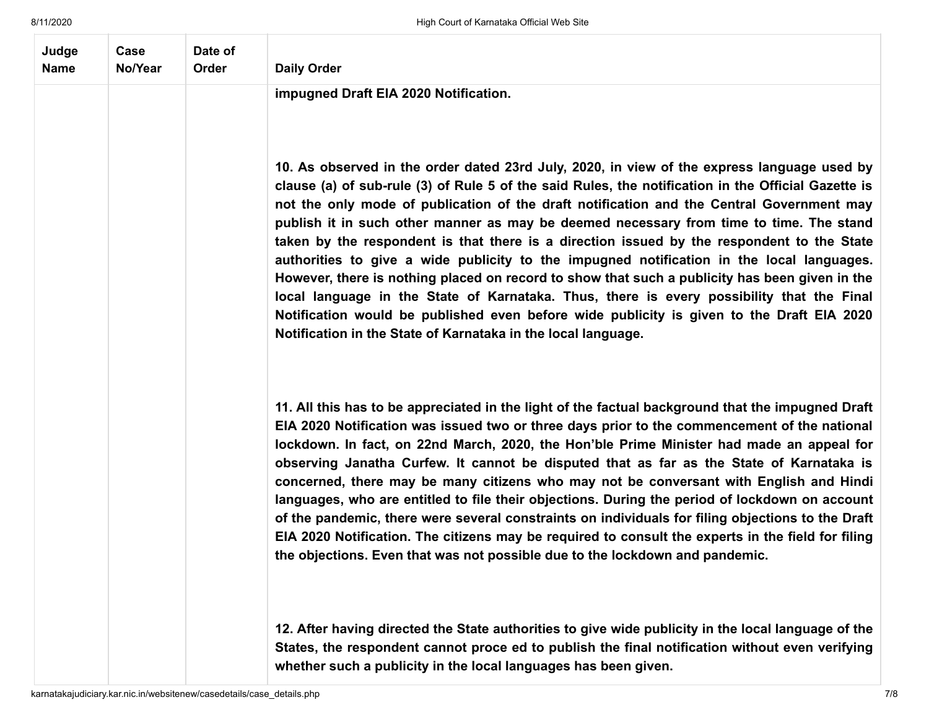| Judge<br><b>Name</b> | Case<br>No/Year | Date of<br>Order | <b>Daily Order</b>                                                                                                                                                                                                                                                                                                                                                                                                                                                                                                                                                                                                                                                                                                                                                                                                                                                                                                                                 |
|----------------------|-----------------|------------------|----------------------------------------------------------------------------------------------------------------------------------------------------------------------------------------------------------------------------------------------------------------------------------------------------------------------------------------------------------------------------------------------------------------------------------------------------------------------------------------------------------------------------------------------------------------------------------------------------------------------------------------------------------------------------------------------------------------------------------------------------------------------------------------------------------------------------------------------------------------------------------------------------------------------------------------------------|
|                      |                 |                  | impugned Draft EIA 2020 Notification.                                                                                                                                                                                                                                                                                                                                                                                                                                                                                                                                                                                                                                                                                                                                                                                                                                                                                                              |
|                      |                 |                  | 10. As observed in the order dated 23rd July, 2020, in view of the express language used by<br>clause (a) of sub-rule (3) of Rule 5 of the said Rules, the notification in the Official Gazette is<br>not the only mode of publication of the draft notification and the Central Government may<br>publish it in such other manner as may be deemed necessary from time to time. The stand<br>taken by the respondent is that there is a direction issued by the respondent to the State<br>authorities to give a wide publicity to the impugned notification in the local languages.<br>However, there is nothing placed on record to show that such a publicity has been given in the<br>local language in the State of Karnataka. Thus, there is every possibility that the Final<br>Notification would be published even before wide publicity is given to the Draft EIA 2020<br>Notification in the State of Karnataka in the local language. |
|                      |                 |                  | 11. All this has to be appreciated in the light of the factual background that the impugned Draft<br>EIA 2020 Notification was issued two or three days prior to the commencement of the national<br>lockdown. In fact, on 22nd March, 2020, the Hon'ble Prime Minister had made an appeal for<br>observing Janatha Curfew. It cannot be disputed that as far as the State of Karnataka is<br>concerned, there may be many citizens who may not be conversant with English and Hindi<br>languages, who are entitled to file their objections. During the period of lockdown on account<br>of the pandemic, there were several constraints on individuals for filing objections to the Draft<br>EIA 2020 Notification. The citizens may be required to consult the experts in the field for filing<br>the objections. Even that was not possible due to the lockdown and pandemic.                                                                  |
|                      |                 |                  | 12. After having directed the State authorities to give wide publicity in the local language of the<br>States, the respondent cannot proce ed to publish the final notification without even verifying<br>whether such a publicity in the local languages has been given.                                                                                                                                                                                                                                                                                                                                                                                                                                                                                                                                                                                                                                                                          |